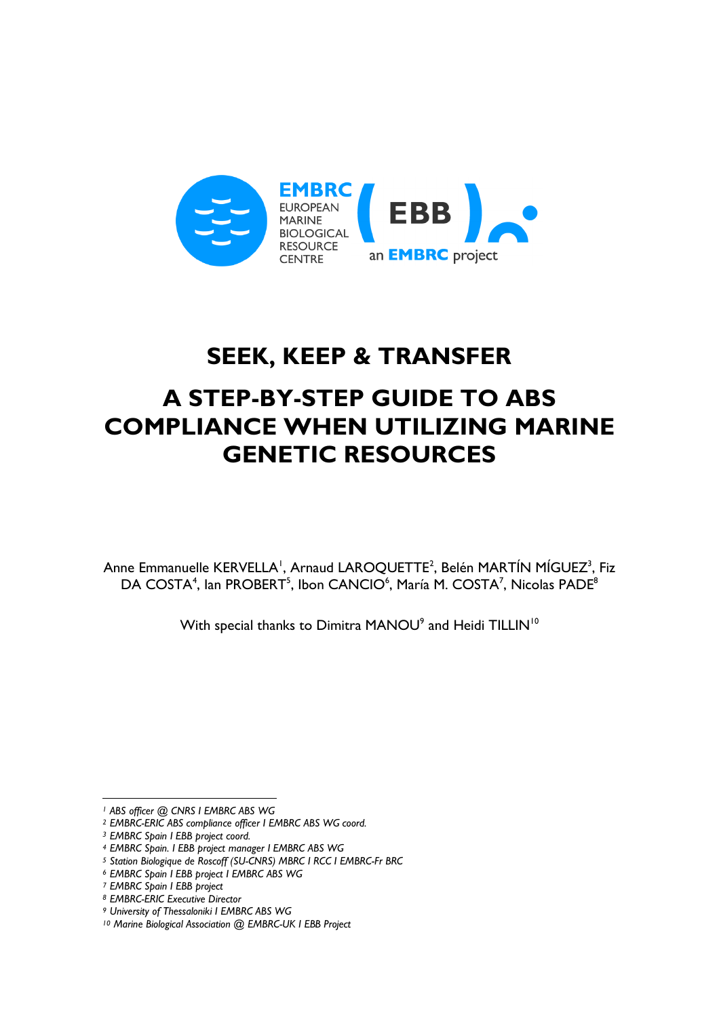

# **SEEK, KEEP & TRANSFER**

# **A STEP-BY-STEP GUIDE TO ABS COMPLIANCE WHEN UTILIZING MARINE GENETIC RESOURCES**

Anne Emmanuelle KERVELLA<sup>1</sup>, Arnaud LAROQUETTE<sup>2</sup>, Belén MARTÍN MÍGUEZ<sup>3</sup>, Fiz DA COSTA<sup>4</sup>, Ian PROBERT<sup>5</sup>, Ibon CANCIO<sup>6</sup>, María M. COSTA<sup>7</sup>, Nicolas PADE<sup>8</sup>

With special thanks to Dimitra MANOU $^{\rm 9}$  and Heidi TILLIN $^{\rm 10}$ 

 $\overline{a}$ *<sup>1</sup> ABS officer @ CNRS I EMBRC ABS WG*

*<sup>2</sup> EMBRC-ERIC ABS compliance officer I EMBRC ABS WG coord.*

*<sup>3</sup> EMBRC Spain I EBB project coord.*

*<sup>4</sup> EMBRC Spain. I EBB project manager I EMBRC ABS WG*

*<sup>5</sup> Station Biologique de Roscoff (SU-CNRS) MBRC I RCC I EMBRC-Fr BRC*

*<sup>6</sup> EMBRC Spain I EBB project I EMBRC ABS WG*

*<sup>7</sup> EMBRC Spain I EBB project*

*<sup>8</sup> EMBRC-ERIC Executive Director*

*<sup>9</sup> University of Thessaloniki I EMBRC ABS WG*

*<sup>10</sup> Marine Biological Association @ EMBRC-UK I EBB Project*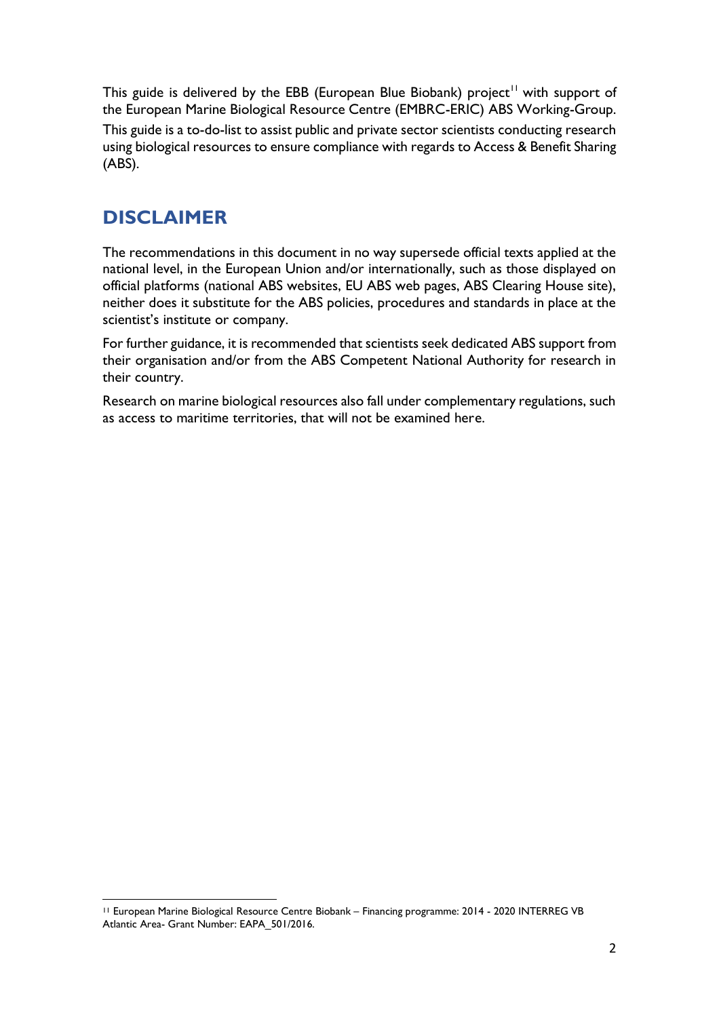This guide is delivered by the EBB (European Blue Biobank) project<sup>11</sup> with support of the European Marine Biological Resource Centre (EMBRC-ERIC) ABS Working-Group.

This guide is a to-do-list to assist public and private sector scientists conducting research using biological resources to ensure compliance with regards to Access & Benefit Sharing (ABS).

# **DISCLAIMER**

 $\overline{a}$ 

The recommendations in this document in no way supersede official texts applied at the national level, in the European Union and/or internationally, such as those displayed on official platforms (national ABS websites, EU ABS web pages, ABS Clearing House site), neither does it substitute for the ABS policies, procedures and standards in place at the scientist's institute or company.

For further guidance, it is recommended that scientists seek dedicated ABS support from their organisation and/or from the ABS Competent National Authority for research in their country.

Research on marine biological resources also fall under complementary regulations, such as access to maritime territories, that will not be examined here.

<sup>11</sup> European Marine Biological Resource Centre Biobank – Financing programme: 2014 - 2020 INTERREG VB Atlantic Area- Grant Number: EAPA\_501/2016.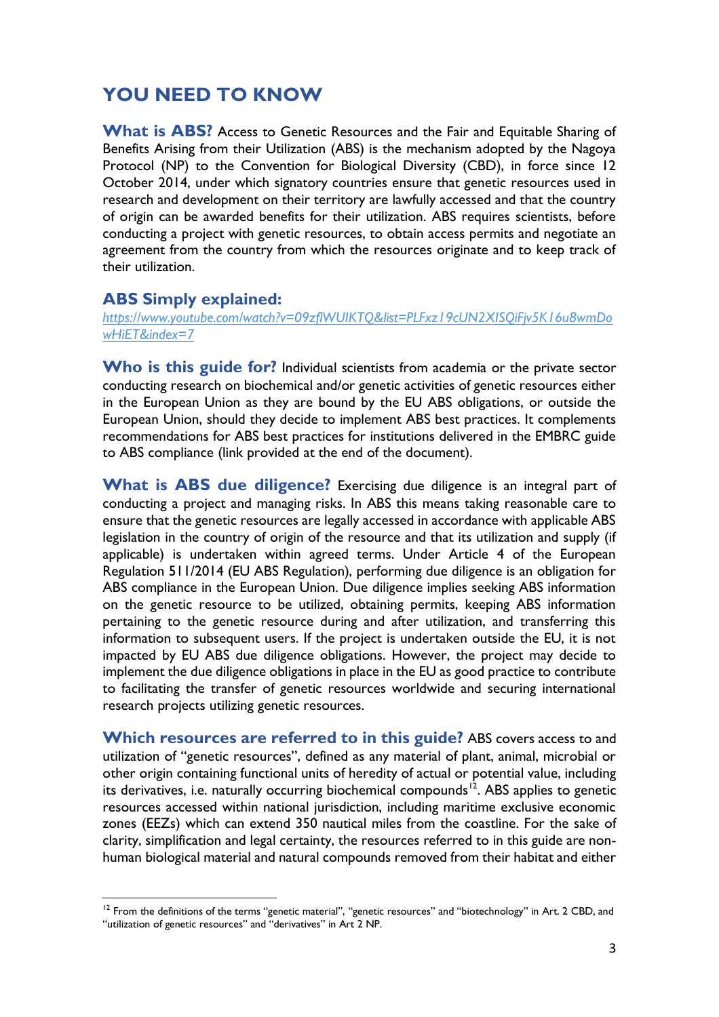## **YOU NEED TO KNOW**

**What is ABS?** Access to Genetic Resources and the Fair and Equitable Sharing of Benefits Arising from their Utilization (ABS) is the mechanism adopted by the Nagoya Protocol (NP) to the Convention for Biological Diversity (CBD), in force since 12 October 2014, under which signatory countries ensure that genetic resources used in research and development on their territory are lawfully accessed and that the country of origin can be awarded benefits for their utilization. ABS requires scientists, before conducting a project with genetic resources, to obtain access permits and negotiate an agreement from the country from which the resources originate and to keep track of their utilization.

#### **ABS Simply explained:**

 $\overline{a}$ 

*[https://www.youtube.com/watch?v=09zflWUIKTQ&list=PLFxz19cUN2XISQiFjv5K16u8wmDo](https://www.youtube.com/watch?v=09zflWUIKTQ&list=PLFxz19cUN2XISQiFjv5K16u8wmDowHiET&index=7) [wHiET&index=7](https://www.youtube.com/watch?v=09zflWUIKTQ&list=PLFxz19cUN2XISQiFjv5K16u8wmDowHiET&index=7)*

**Who is this guide for?** Individual scientists from academia or the private sector conducting research on biochemical and/or genetic activities of genetic resources either in the European Union as they are bound by the EU ABS obligations, or outside the European Union, should they decide to implement ABS best practices. It complements recommendations for ABS best practices for institutions delivered in the EMBRC guide to ABS compliance (link provided at the end of the document).

**What is ABS due diligence?** Exercising due diligence is an integral part of conducting a project and managing risks. In ABS this means taking reasonable care to ensure that the genetic resources are legally accessed in accordance with applicable ABS legislation in the country of origin of the resource and that its utilization and supply (if applicable) is undertaken within agreed terms. Under Article 4 of the European Regulation 511/2014 (EU ABS Regulation), performing due diligence is an obligation for ABS compliance in the European Union. Due diligence implies seeking ABS information on the genetic resource to be utilized, obtaining permits, keeping ABS information pertaining to the genetic resource during and after utilization, and transferring this information to subsequent users. If the project is undertaken outside the EU, it is not impacted by EU ABS due diligence obligations. However, the project may decide to implement the due diligence obligations in place in the EU as good practice to contribute to facilitating the transfer of genetic resources worldwide and securing international research projects utilizing genetic resources.

**Which resources are referred to in this guide?** ABS covers access to and utilization of "genetic resources", defined as any material of plant, animal, microbial or other origin containing functional units of heredity of actual or potential value, including its derivatives, i.e. naturally occurring biochemical compounds<sup>12</sup>. ABS applies to genetic resources accessed within national jurisdiction, including maritime exclusive economic zones (EEZs) which can extend 350 nautical miles from the coastline. For the sake of clarity, simplification and legal certainty, the resources referred to in this guide are nonhuman biological material and natural compounds removed from their habitat and either

<sup>&</sup>lt;sup>12</sup> From the definitions of the terms "genetic material", "genetic resources" and "biotechnology" in Art. 2 CBD, and "utilization of genetic resources" and "derivatives" in Art 2 NP.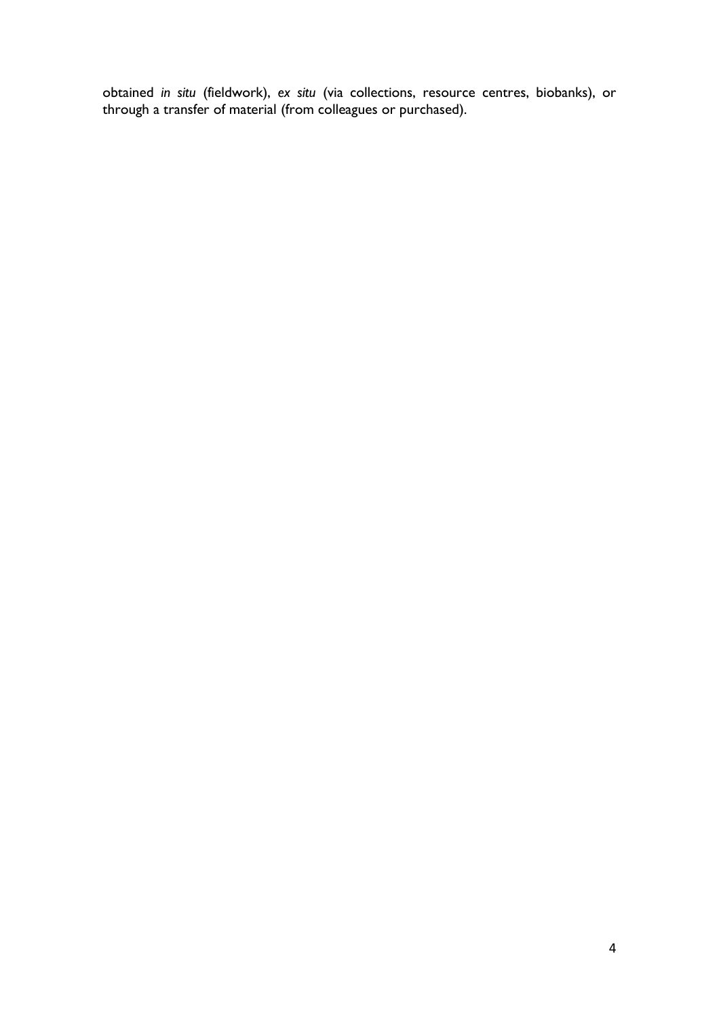obtained *in situ* (fieldwork), *ex situ* (via collections, resource centres, biobanks), or through a transfer of material (from colleagues or purchased).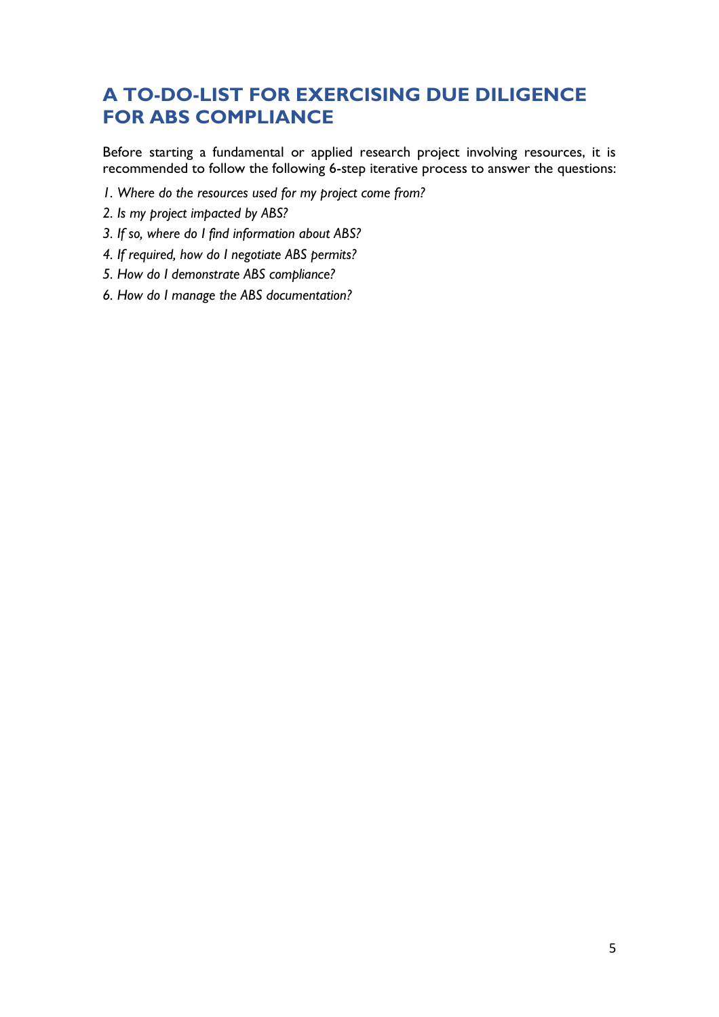# **A TO-DO-LIST FOR EXERCISING DUE DILIGENCE FOR ABS COMPLIANCE**

Before starting a fundamental or applied research project involving resources, it is recommended to follow the following 6-step iterative process to answer the questions:

- *1. Where do the resources used for my project come from?*
- *2. Is my project impacted by ABS?*
- *3. If so, where do I find information about ABS?*
- *4. If required, how do I negotiate ABS permits?*
- *5. How do I demonstrate ABS compliance?*
- *6. How do I manage the ABS documentation?*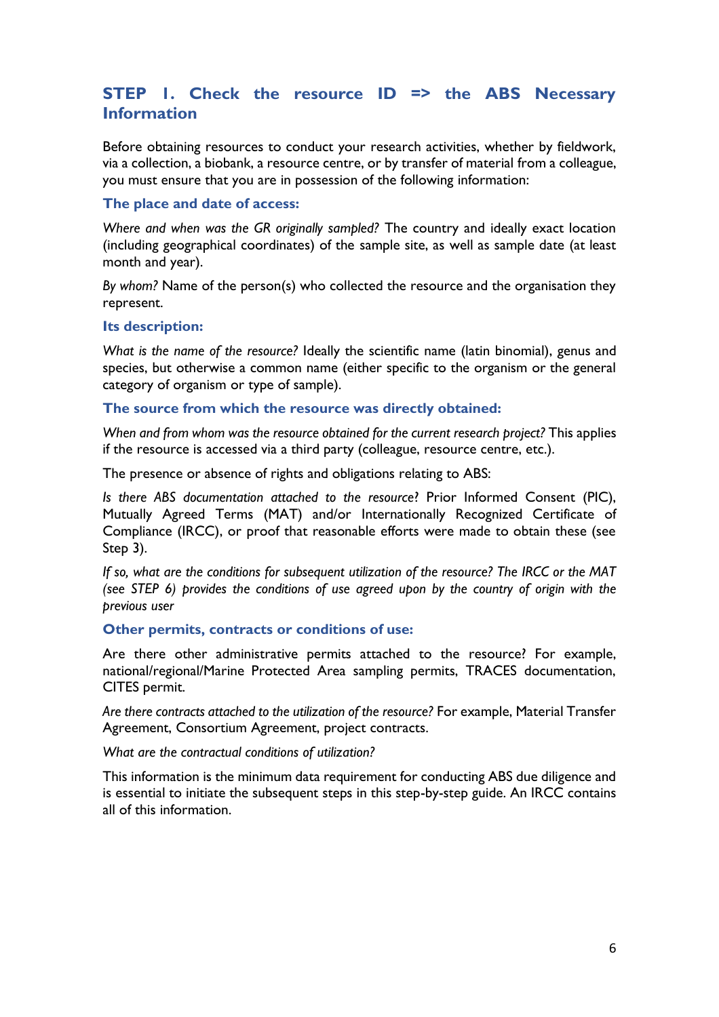## **STEP 1. Check the resource ID => the ABS Necessary Information**

Before obtaining resources to conduct your research activities, whether by fieldwork, via a collection, a biobank, a resource centre, or by transfer of material from a colleague, you must ensure that you are in possession of the following information:

#### **The place and date of access:**

*Where and when was the GR originally sampled?* The country and ideally exact location (including geographical coordinates) of the sample site, as well as sample date (at least month and year).

*By whom?* Name of the person(s) who collected the resource and the organisation they represent.

#### **Its description:**

*What is the name of the resource?* Ideally the scientific name (latin binomial), genus and species, but otherwise a common name (either specific to the organism or the general category of organism or type of sample).

#### **The source from which the resource was directly obtained:**

*When and from whom was the resource obtained for the current research project?* This applies if the resource is accessed via a third party (colleague, resource centre, etc.).

The presence or absence of rights and obligations relating to ABS:

*Is there ABS documentation attached to the resource*? Prior Informed Consent (PIC), Mutually Agreed Terms (MAT) and/or Internationally Recognized Certificate of Compliance (IRCC), or proof that reasonable efforts were made to obtain these (see Step 3).

*If so, what are the conditions for subsequent utilization of the resource? The IRCC or the MAT (see STEP 6) provides the conditions of use agreed upon by the country of origin with the previous user* 

#### **Other permits, contracts or conditions of use:**

Are there other administrative permits attached to the resource? For example, national/regional/Marine Protected Area sampling permits, TRACES documentation, CITES permit.

*Are there contracts attached to the utilization of the resource?* For example, Material Transfer Agreement, Consortium Agreement, project contracts.

*What are the contractual conditions of utilization?* 

This information is the minimum data requirement for conducting ABS due diligence and is essential to initiate the subsequent steps in this step-by-step guide. An IRCC contains all of this information.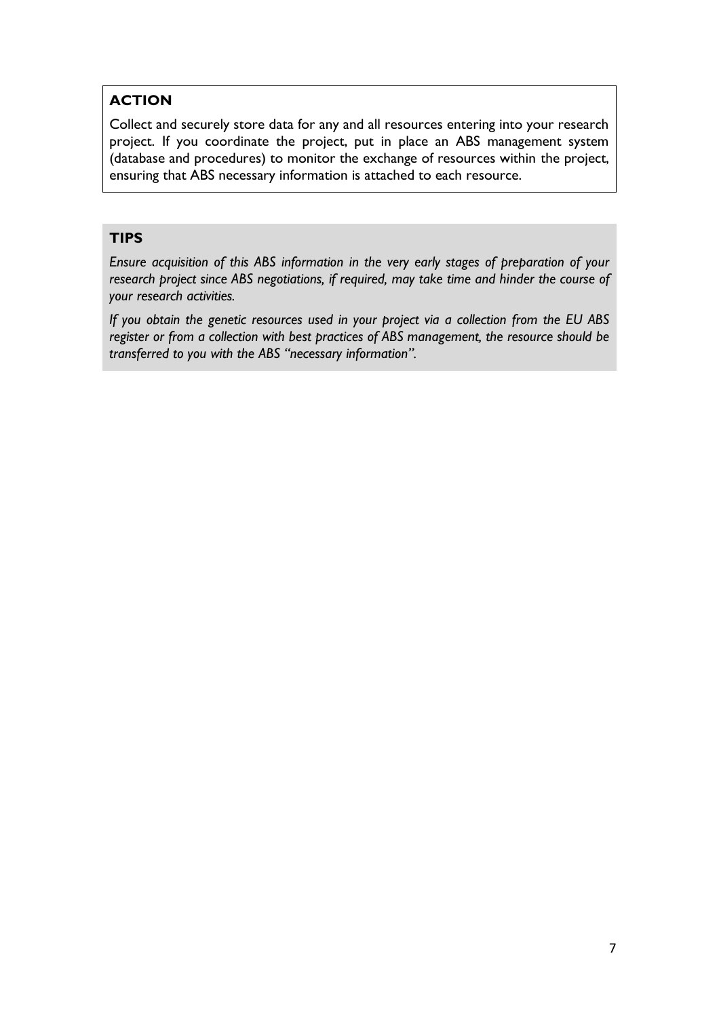### **ACTION**

Collect and securely store data for any and all resources entering into your research project. If you coordinate the project, put in place an ABS management system (database and procedures) to monitor the exchange of resources within the project, ensuring that ABS necessary information is attached to each resource.

#### **TIPS**

*Ensure acquisition of this ABS information in the very early stages of preparation of your research project since ABS negotiations, if required, may take time and hinder the course of your research activities.* 

*If you obtain the genetic resources used in your project via a collection from the EU ABS register or from a collection with best practices of ABS management, the resource should be transferred to you with the ABS "necessary information".*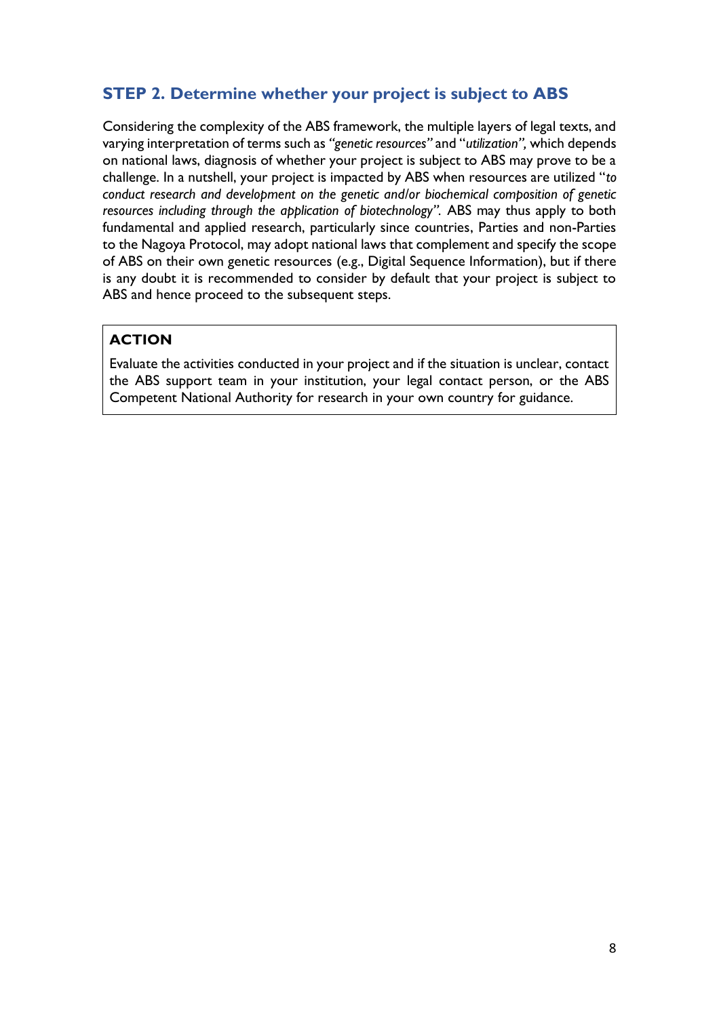## **STEP 2. Determine whether your project is subject to ABS**

Considering the complexity of the ABS framework, the multiple layers of legal texts, and varying interpretation of terms such as *"genetic resources"* and "*utilization",* which depends on national laws, diagnosis of whether your project is subject to ABS may prove to be a challenge. In a nutshell, your project is impacted by ABS when resources are utilized "*to conduct research and development on the genetic and/or biochemical composition of genetic resources including through the application of biotechnology".* ABS may thus apply to both fundamental and applied research, particularly since countries, Parties and non-Parties to the Nagoya Protocol, may adopt national laws that complement and specify the scope of ABS on their own genetic resources (e.g., Digital Sequence Information), but if there is any doubt it is recommended to consider by default that your project is subject to ABS and hence proceed to the subsequent steps.

## **ACTION**

Evaluate the activities conducted in your project and if the situation is unclear, contact the ABS support team in your institution, your legal contact person, or the ABS Competent National Authority for research in your own country for guidance.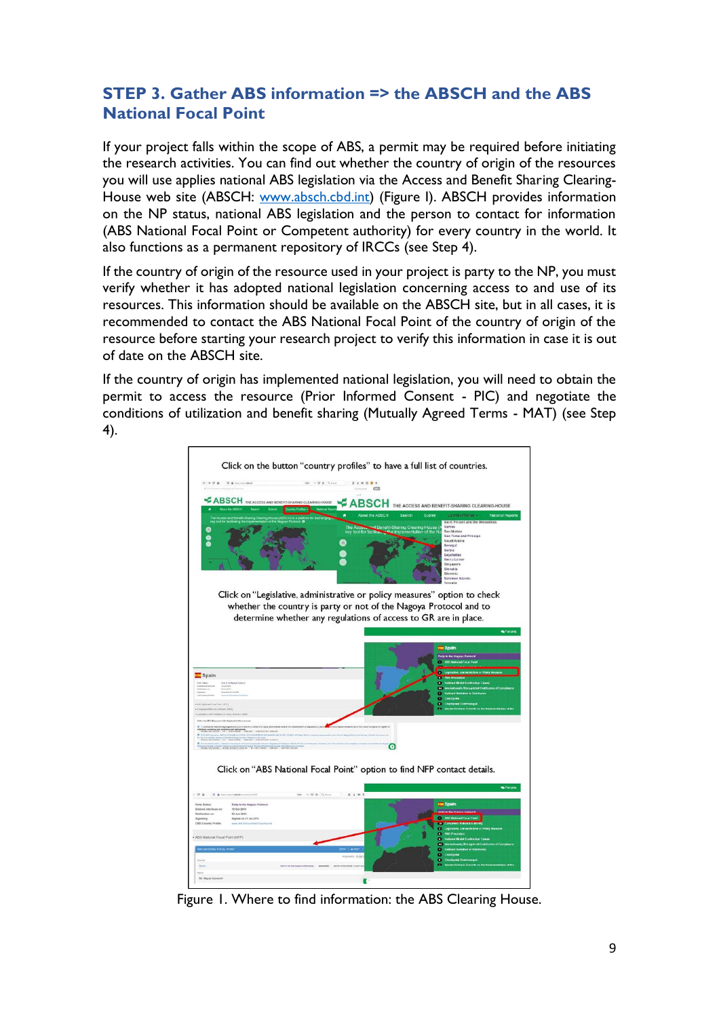## **STEP 3. Gather ABS information => the ABSCH and the ABS National Focal Point**

If your project falls within the scope of ABS, a permit may be required before initiating the research activities. You can find out whether the country of origin of the resources you will use applies national ABS legislation via the Access and Benefit Sharing ClearingHouse web site (ABSCH: [www.absch.cbd.int\)](http://www.absch.cbd.int/) (Figure I). ABSCH provides information on the NP status, national ABS legislation and the person to contact for information (ABS National Focal Point or Competent authority) for every country in the world. It also functions as a permanent repository of IRCCs (see Step 4).

If the country of origin of the resource used in your project is party to the NP, you must verify whether it has adopted national legislation concerning access to and use of its resources. This information should be available on the ABSCH site, but in all cases, it is recommended to contact the ABS National Focal Point of the country of origin of the resource before starting your research project to verify this information in case it is out of date on the ABSCH site.

If the country of origin has implemented national legislation, you will need to obtain the permit to access the resource (Prior Informed Consent - PIC) and negotiate the conditions of utilization and benefit sharing (Mutually Agreed Terms - MAT) (see Step 4).



Figure 1. Where to find information: the ABS Clearing House.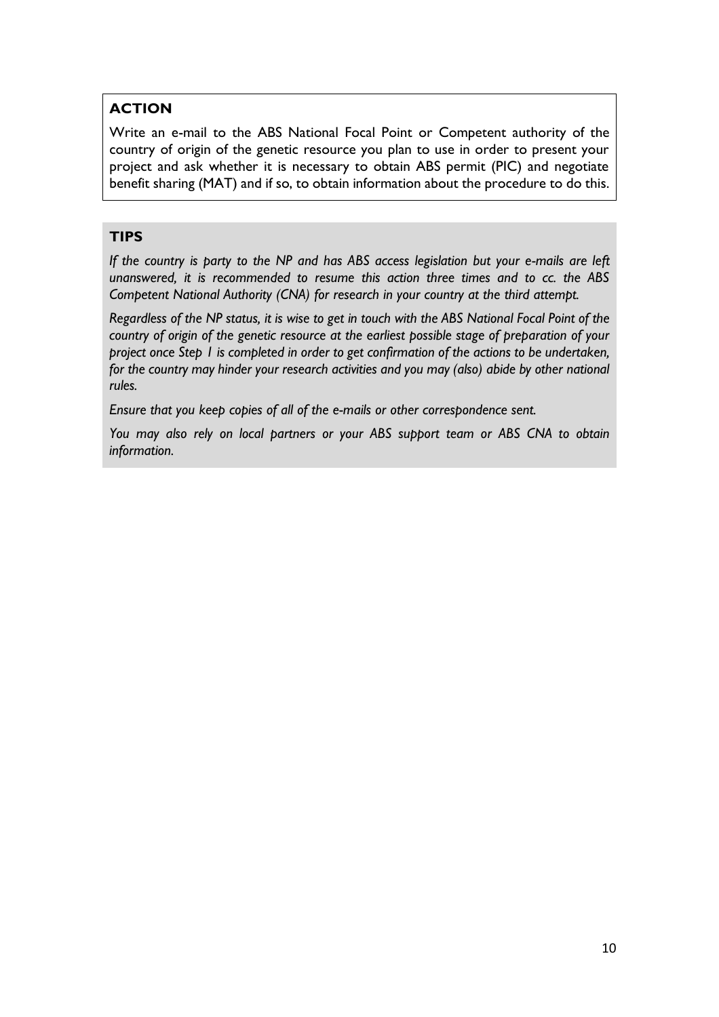## **ACTION**

Write an e-mail to the ABS National Focal Point or Competent authority of the country of origin of the genetic resource you plan to use in order to present your project and ask whether it is necessary to obtain ABS permit (PIC) and negotiate benefit sharing (MAT) and if so, to obtain information about the procedure to do this.

#### **TIPS**

*If the country is party to the NP and has ABS access legislation but your e-mails are left unanswered, it is recommended to resume this action three times and to cc. the ABS Competent National Authority (CNA) for research in your country at the third attempt.*

*Regardless of the NP status, it is wise to get in touch with the ABS National Focal Point of the country of origin of the genetic resource at the earliest possible stage of preparation of your project once Step 1 is completed in order to get confirmation of the actions to be undertaken, for the country may hinder your research activities and you may (also) abide by other national rules.* 

*Ensure that you keep copies of all of the e-mails or other correspondence sent.*

*You may also rely on local partners or your ABS support team or ABS CNA to obtain information.*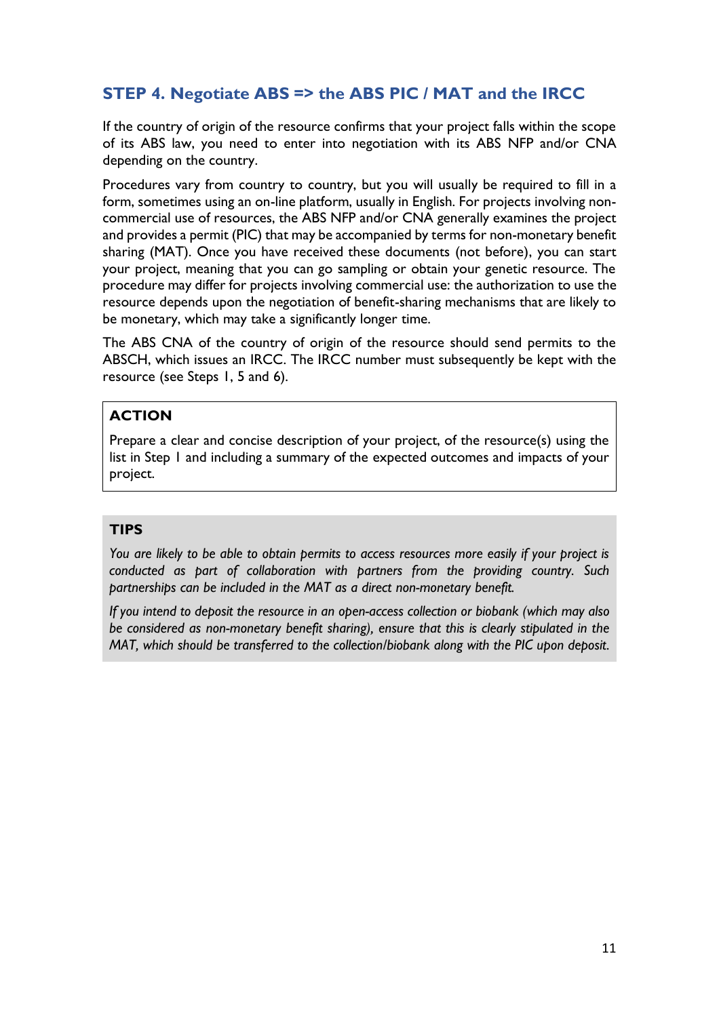## **STEP 4. Negotiate ABS => the ABS PIC / MAT and the IRCC**

If the country of origin of the resource confirms that your project falls within the scope of its ABS law, you need to enter into negotiation with its ABS NFP and/or CNA depending on the country.

Procedures vary from country to country, but you will usually be required to fill in a form, sometimes using an on-line platform, usually in English. For projects involving noncommercial use of resources, the ABS NFP and/or CNA generally examines the project and provides a permit (PIC) that may be accompanied by terms for non-monetary benefit sharing (MAT). Once you have received these documents (not before), you can start your project, meaning that you can go sampling or obtain your genetic resource. The procedure may differ for projects involving commercial use: the authorization to use the resource depends upon the negotiation of benefit-sharing mechanisms that are likely to be monetary, which may take a significantly longer time.

The ABS CNA of the country of origin of the resource should send permits to the ABSCH, which issues an IRCC. The IRCC number must subsequently be kept with the resource (see Steps 1, 5 and 6).

#### **ACTION**

Prepare a clear and concise description of your project, of the resource(s) using the list in Step 1 and including a summary of the expected outcomes and impacts of your project.

#### **TIPS**

*You are likely to be able to obtain permits to access resources more easily if your project is conducted as part of collaboration with partners from the providing country. Such partnerships can be included in the MAT as a direct non-monetary benefit.* 

*If you intend to deposit the resource in an open-access collection or biobank (which may also be considered as non-monetary benefit sharing), ensure that this is clearly stipulated in the MAT, which should be transferred to the collection/biobank along with the PIC upon deposit.*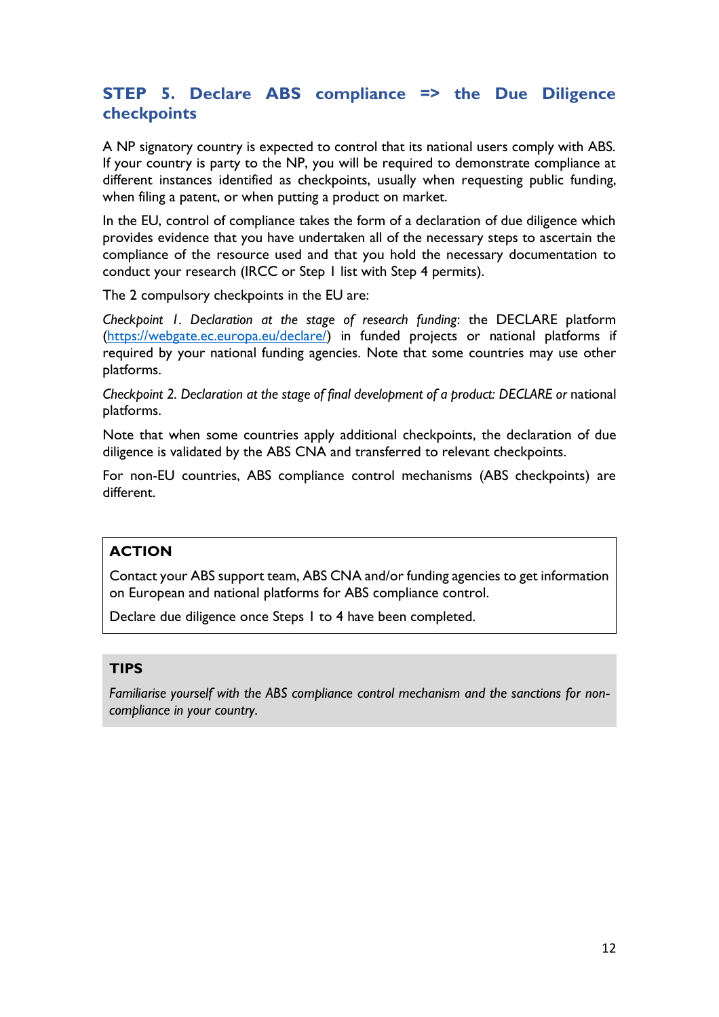## **STEP 5. Declare ABS compliance => the Due Diligence checkpoints**

A NP signatory country is expected to control that its national users comply with ABS. If your country is party to the NP, you will be required to demonstrate compliance at different instances identified as checkpoints, usually when requesting public funding, when filing a patent, or when putting a product on market.

In the EU, control of compliance takes the form of a declaration of due diligence which provides evidence that you have undertaken all of the necessary steps to ascertain the compliance of the resource used and that you hold the necessary documentation to conduct your research (IRCC or Step 1 list with Step 4 permits).

The 2 compulsory checkpoints in the EU are:

*Checkpoint 1. Declaration at the stage of research funding*: the DECLARE platform [\(https://webgate.ec.europa.eu/declare/\)](https://webgate.ec.europa.eu/declare/) in funded projects or national platforms if required by your national funding agencies. Note that some countries may use other platforms.

*Checkpoint 2. Declaration at the stage of final development of a product: DECLARE or* national platforms.

Note that when some countries apply additional checkpoints, the declaration of due diligence is validated by the ABS CNA and transferred to relevant checkpoints.

For non-EU countries, ABS compliance control mechanisms (ABS checkpoints) are different.

#### **ACTION**

Contact your ABS support team, ABS CNA and/or funding agencies to get information on European and national platforms for ABS compliance control.

Declare due diligence once Steps 1 to 4 have been completed.

#### **TIPS**

*Familiarise yourself with the ABS compliance control mechanism and the sanctions for noncompliance in your country.*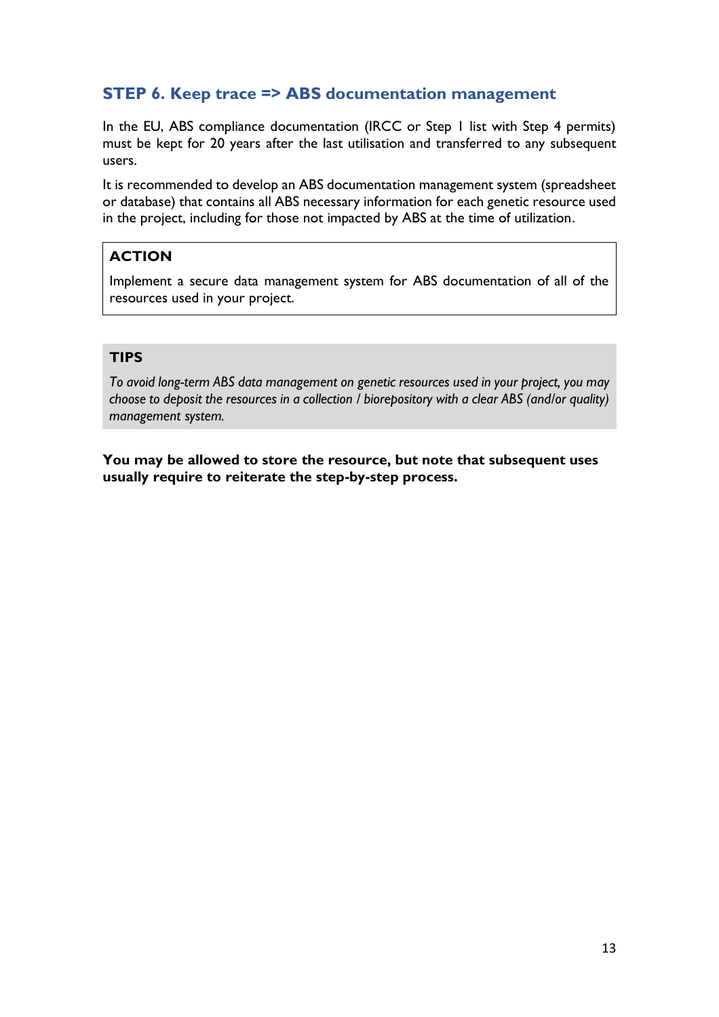## **STEP 6. Keep trace => ABS documentation management**

In the EU, ABS compliance documentation (IRCC or Step 1 list with Step 4 permits) must be kept for 20 years after the last utilisation and transferred to any subsequent users.

It is recommended to develop an ABS documentation management system (spreadsheet or database) that contains all ABS necessary information for each genetic resource used in the project, including for those not impacted by ABS at the time of utilization.

## **ACTION**

Implement a secure data management system for ABS documentation of all of the resources used in your project.

#### **TIPS**

*To avoid long-term ABS data management on genetic resources used in your project, you may choose to deposit the resources in a collection / biorepository with a clear ABS (and/or quality) management system.*

**You may be allowed to store the resource, but note that subsequent uses usually require to reiterate the step-by-step process.**